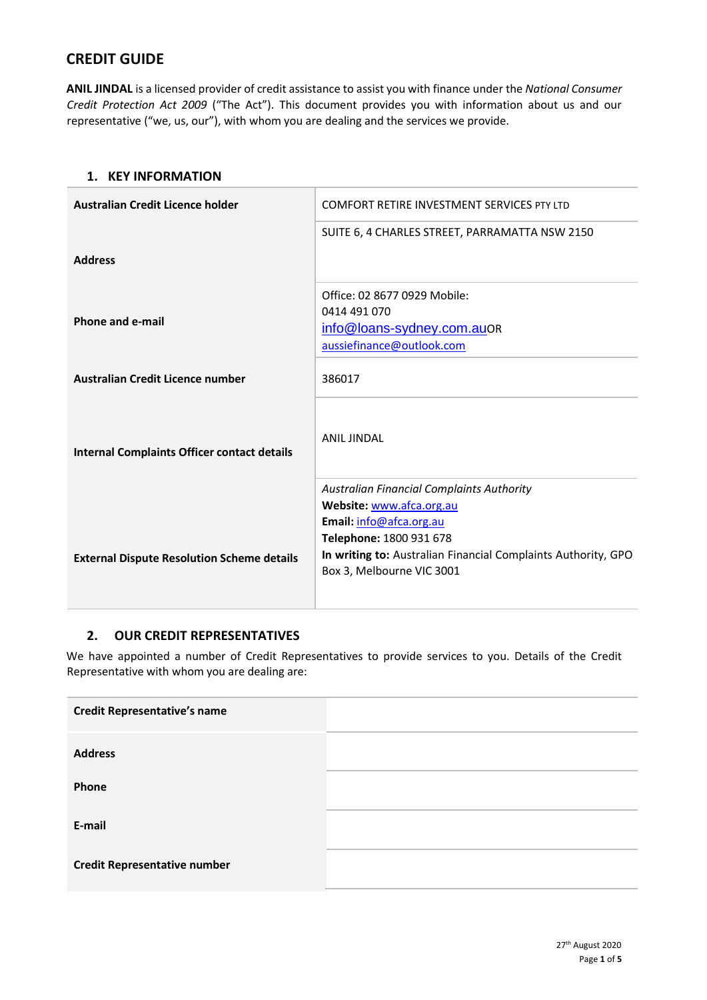# **CREDIT GUIDE**

**ANIL JINDAL** is a licensed provider of credit assistance to assist you with finance under the *National Consumer Credit Protection Act 2009* ("The Act"). This document provides you with information about us and our representative ("we, us, our"), with whom you are dealing and the services we provide.

#### **1. KEY INFORMATION**

| Australian Credit Licence holder                   | <b>COMFORT RETIRE INVESTMENT SERVICES PTY LTD</b>                                                                     |
|----------------------------------------------------|-----------------------------------------------------------------------------------------------------------------------|
|                                                    | SUITE 6, 4 CHARLES STREET, PARRAMATTA NSW 2150                                                                        |
| <b>Address</b>                                     |                                                                                                                       |
| <b>Phone and e-mail</b>                            | Office: 02 8677 0929 Mobile:<br>0414 491 070<br>info@loans-sydney.com.auOR<br>aussiefinance@outlook.com               |
| Australian Credit Licence number                   | 386017                                                                                                                |
| <b>Internal Complaints Officer contact details</b> | <b>ANIL JINDAL</b>                                                                                                    |
|                                                    | <b>Australian Financial Complaints Authority</b>                                                                      |
|                                                    | Website: www.afca.org.au<br>Email: info@afca.org.au                                                                   |
| <b>External Dispute Resolution Scheme details</b>  | Telephone: 1800 931 678<br>In writing to: Australian Financial Complaints Authority, GPO<br>Box 3, Melbourne VIC 3001 |

## **2. OUR CREDIT REPRESENTATIVES**

We have appointed a number of Credit Representatives to provide services to you. Details of the Credit Representative with whom you are dealing are:

| <b>Credit Representative's name</b> |  |
|-------------------------------------|--|
| <b>Address</b>                      |  |
| Phone                               |  |
| E-mail                              |  |
| <b>Credit Representative number</b> |  |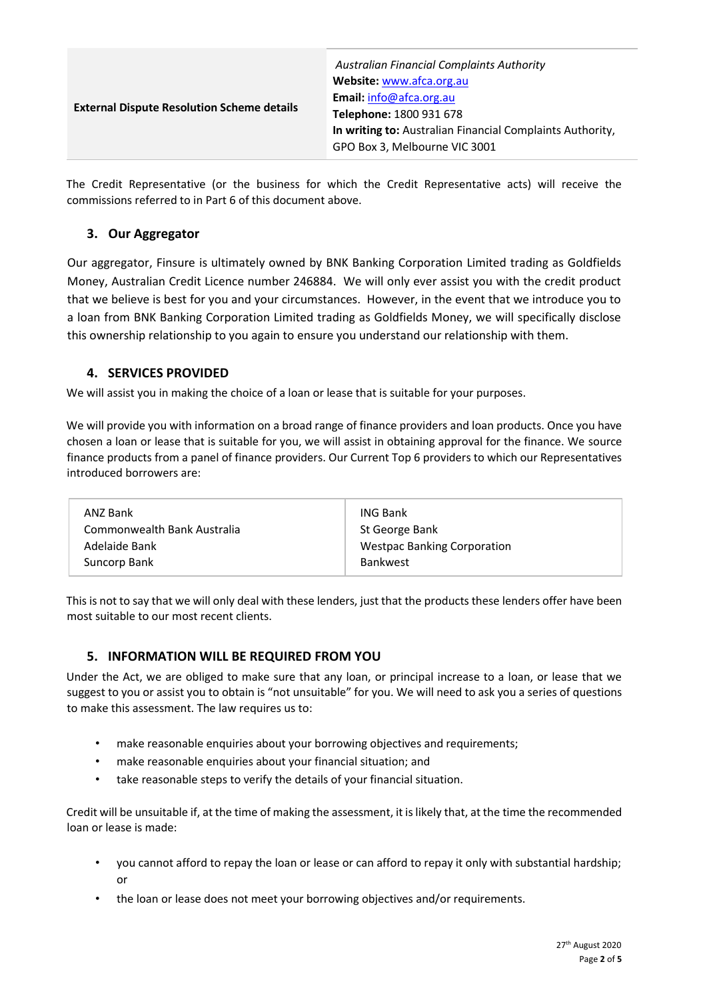| <b>External Dispute Resolution Scheme details</b> | <b>Australian Financial Complaints Authority</b><br>Website: www.afca.org.au<br>Email: info@afca.org.au<br>Telephone: 1800 931 678<br>In writing to: Australian Financial Complaints Authority, |
|---------------------------------------------------|-------------------------------------------------------------------------------------------------------------------------------------------------------------------------------------------------|
|                                                   | GPO Box 3, Melbourne VIC 3001                                                                                                                                                                   |

The Credit Representative (or the business for which the Credit Representative acts) will receive the commissions referred to in Part 6 of this document above.

## **3. Our Aggregator**

Our aggregator, Finsure is ultimately owned by BNK Banking Corporation Limited trading as Goldfields Money, Australian Credit Licence number 246884. We will only ever assist you with the credit product that we believe is best for you and your circumstances. However, in the event that we introduce you to a loan from BNK Banking Corporation Limited trading as Goldfields Money, we will specifically disclose this ownership relationship to you again to ensure you understand our relationship with them.

## **4. SERVICES PROVIDED**

We will assist you in making the choice of a loan or lease that is suitable for your purposes.

We will provide you with information on a broad range of finance providers and loan products. Once you have chosen a loan or lease that is suitable for you, we will assist in obtaining approval for the finance. We source finance products from a panel of finance providers. Our Current Top 6 providers to which our Representatives introduced borrowers are:

| ANZ Bank                    | <b>ING Bank</b>                    |
|-----------------------------|------------------------------------|
| Commonwealth Bank Australia | St George Bank                     |
| Adelaide Bank               | <b>Westpac Banking Corporation</b> |
| Suncorp Bank                | <b>Bankwest</b>                    |
|                             |                                    |

This is not to say that we will only deal with these lenders, just that the products these lenders offer have been most suitable to our most recent clients.

## **5. INFORMATION WILL BE REQUIRED FROM YOU**

Under the Act, we are obliged to make sure that any loan, or principal increase to a loan, or lease that we suggest to you or assist you to obtain is "not unsuitable" for you. We will need to ask you a series of questions to make this assessment. The law requires us to:

- make reasonable enquiries about your borrowing objectives and requirements;
- make reasonable enquiries about your financial situation; and
- take reasonable steps to verify the details of your financial situation.

Credit will be unsuitable if, at the time of making the assessment, it is likely that, at the time the recommended loan or lease is made:

- you cannot afford to repay the loan or lease or can afford to repay it only with substantial hardship; or
- the loan or lease does not meet your borrowing objectives and/or requirements.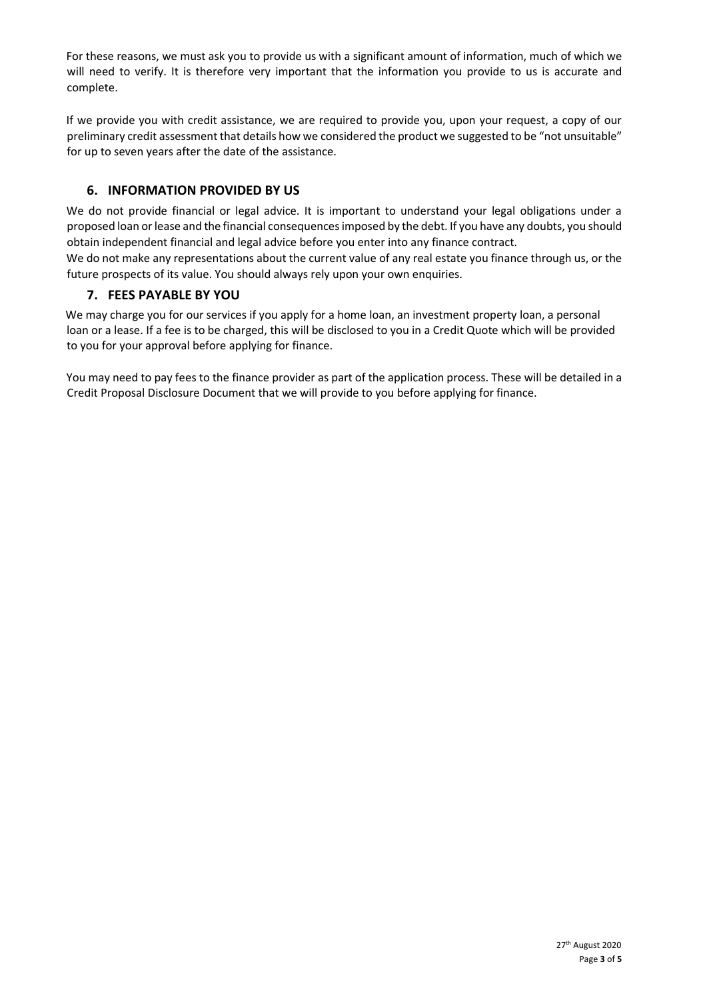For these reasons, we must ask you to provide us with a significant amount of information, much of which we will need to verify. It is therefore very important that the information you provide to us is accurate and complete.

If we provide you with credit assistance, we are required to provide you, upon your request, a copy of our preliminary credit assessment that details how we considered the product we suggested to be "not unsuitable" for up to seven years after the date of the assistance.

## **6. INFORMATION PROVIDED BY US**

We do not provide financial or legal advice. It is important to understand your legal obligations under a proposed loan or lease and the financial consequences imposed by the debt. If you have any doubts, you should obtain independent financial and legal advice before you enter into any finance contract.

We do not make any representations about the current value of any real estate you finance through us, or the future prospects of its value. You should always rely upon your own enquiries.

## **7. FEES PAYABLE BY YOU**

We may charge you for our services if you apply for a home loan, an investment property loan, a personal loan or a lease. If a fee is to be charged, this will be disclosed to you in a Credit Quote which will be provided to you for your approval before applying for finance.

You may need to pay fees to the finance provider as part of the application process. These will be detailed in a Credit Proposal Disclosure Document that we will provide to you before applying for finance.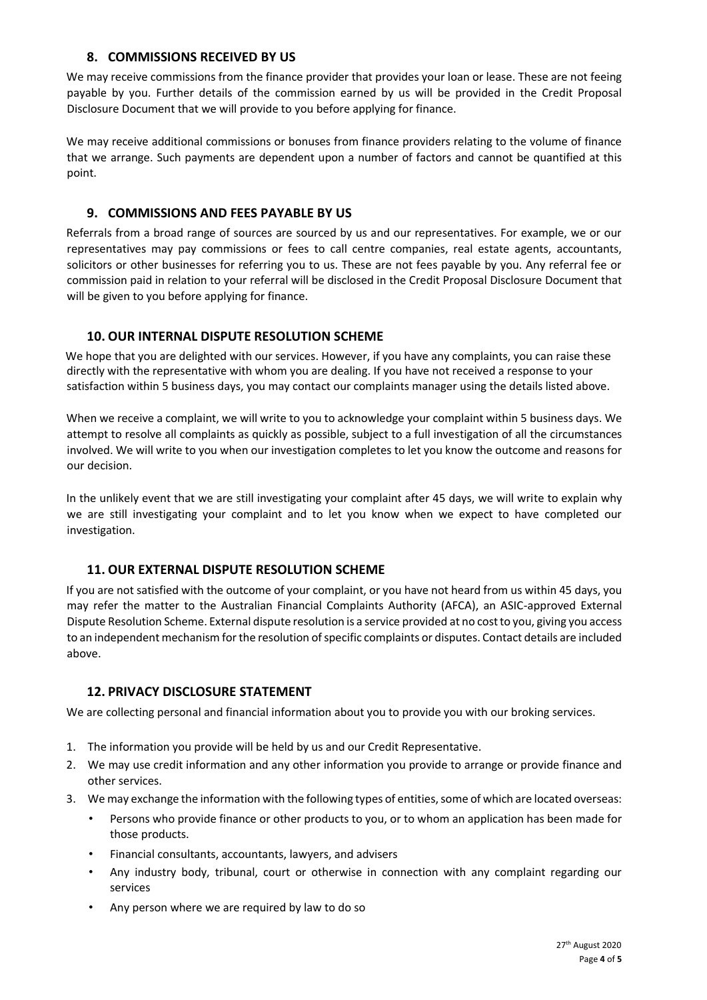## **8. COMMISSIONS RECEIVED BY US**

We may receive commissions from the finance provider that provides your loan or lease. These are not feeing payable by you. Further details of the commission earned by us will be provided in the Credit Proposal Disclosure Document that we will provide to you before applying for finance.

We may receive additional commissions or bonuses from finance providers relating to the volume of finance that we arrange. Such payments are dependent upon a number of factors and cannot be quantified at this point.

#### **9. COMMISSIONS AND FEES PAYABLE BY US**

Referrals from a broad range of sources are sourced by us and our representatives. For example, we or our representatives may pay commissions or fees to call centre companies, real estate agents, accountants, solicitors or other businesses for referring you to us. These are not fees payable by you. Any referral fee or commission paid in relation to your referral will be disclosed in the Credit Proposal Disclosure Document that will be given to you before applying for finance.

#### **10. OUR INTERNAL DISPUTE RESOLUTION SCHEME**

We hope that you are delighted with our services. However, if you have any complaints, you can raise these directly with the representative with whom you are dealing. If you have not received a response to your satisfaction within 5 business days, you may contact our complaints manager using the details listed above.

When we receive a complaint, we will write to you to acknowledge your complaint within 5 business days. We attempt to resolve all complaints as quickly as possible, subject to a full investigation of all the circumstances involved. We will write to you when our investigation completes to let you know the outcome and reasons for our decision.

In the unlikely event that we are still investigating your complaint after 45 days, we will write to explain why we are still investigating your complaint and to let you know when we expect to have completed our investigation.

## **11. OUR EXTERNAL DISPUTE RESOLUTION SCHEME**

If you are not satisfied with the outcome of your complaint, or you have not heard from us within 45 days, you may refer the matter to the Australian Financial Complaints Authority (AFCA), an ASIC-approved External Dispute Resolution Scheme. External dispute resolution is a service provided at no cost to you, giving you access to an independent mechanism for the resolution of specific complaints or disputes. Contact details are included above.

#### **12. PRIVACY DISCLOSURE STATEMENT**

We are collecting personal and financial information about you to provide you with our broking services.

- 1. The information you provide will be held by us and our Credit Representative.
- 2. We may use credit information and any other information you provide to arrange or provide finance and other services.
- 3. We may exchange the information with the following types of entities, some of which are located overseas:
	- Persons who provide finance or other products to you, or to whom an application has been made for those products.
	- Financial consultants, accountants, lawyers, and advisers
	- Any industry body, tribunal, court or otherwise in connection with any complaint regarding our services
	- Any person where we are required by law to do so